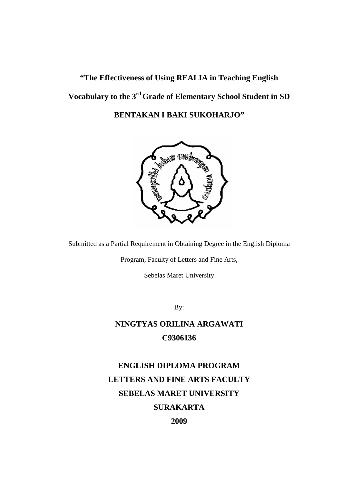## **"The Effectiveness of Using REALIA in Teaching English Vocabulary to the 3rd Grade of Elementary School Student in SD BENTAKAN I BAKI SUKOHARJO"**



Submitted as a Partial Requirement in Obtaining Degree in the English Diploma

Program, Faculty of Letters and Fine Arts,

Sebelas Maret University

By:

## **NINGTYAS ORILINA ARGAWATI C9306136**

**ENGLISH DIPLOMA PROGRAM LETTERS AND FINE ARTS FACULTY SEBELAS MARET UNIVERSITY SURAKARTA**

**2009**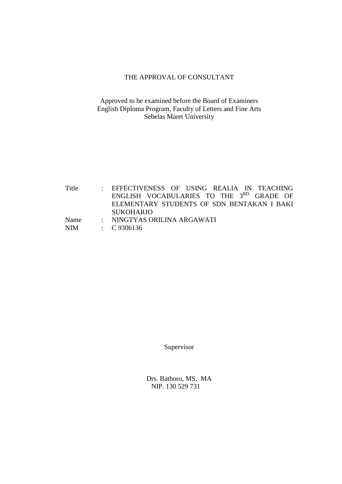#### THE APPROVAL OF CONSULTANT

#### Approved to be examined before the Board of Examiners English Diploma Program, Faculty of Letters and Fine Arts Sebelas Maret University

Title : EFFECTIVENESS OF USING REALIA IN TEACHING ENGLISH VOCABULARIES TO THE 3<sup>RD</sup> GRADE OF ELEMENTARY STUDENTS OF SDN BENTAKAN I BAKI SUKOHARJO Name : NINGTYAS ORILINA ARGAWATI NIM : C 9306136

Supervisor

Drs. Bathoro, MS, MA NIP. 130 529 731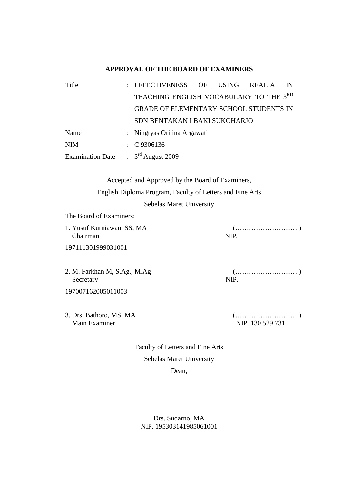#### **APPROVAL OF THE BOARD OF EXAMINERS**

| Title                                | EFFECTIVENESS OF USING REALIA                 |  | IN |
|--------------------------------------|-----------------------------------------------|--|----|
|                                      | TEACHING ENGLISH VOCABULARY TO THE 3RD        |  |    |
|                                      | <b>GRADE OF ELEMENTARY SCHOOL STUDENTS IN</b> |  |    |
|                                      | SDN BENTAKAN I BAKI SUKOHARJO                 |  |    |
| Name                                 | : Ningtyas Orilina Argawati                   |  |    |
| <b>NIM</b>                           | $\therefore$ C 9306136                        |  |    |
| Examination Date : $3rd$ August 2009 |                                               |  |    |

Accepted and Approved by the Board of Examiners, English Diploma Program, Faculty of Letters and Fine Arts

Sebelas Maret University

The Board of Examiners:

1. Yusuf Kurniawan, SS, MA (……………………….) Chairman NIP.

197111301999031001

2. M. Farkhan M, S.Ag., M.Ag (……………………….) Secretary NIP. 197007162005011003

3. Drs. Bathoro, MS, MA (……………………….) Main Examiner NIP. 130 529 731

Faculty of Letters and Fine Arts Sebelas Maret University Dean,

Drs. Sudarno, MA NIP. 195303141985061001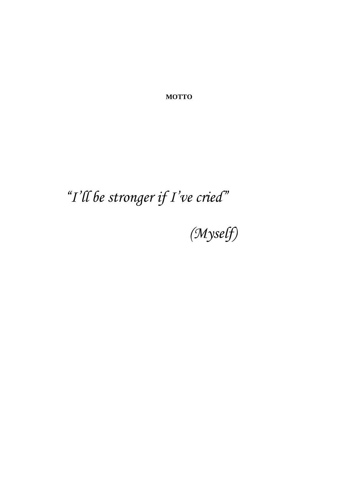**MOTTO**

# *"I'll be stronger if I've cried"*

*(Myself)*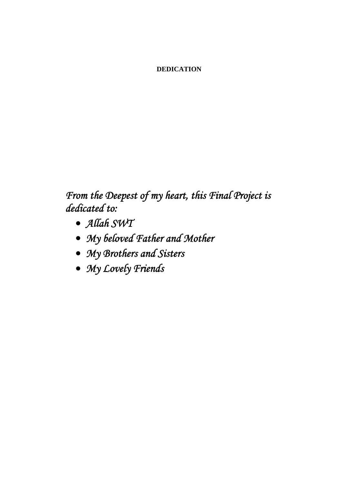#### **DEDICATION**

*From the Deepest of my heart, this Final Project is dedicated to:* 

- · *Allah SWT*
- · *My beloved Father and Mother*
- · *My Brothers and Sisters*
- · *My Lovely Friends*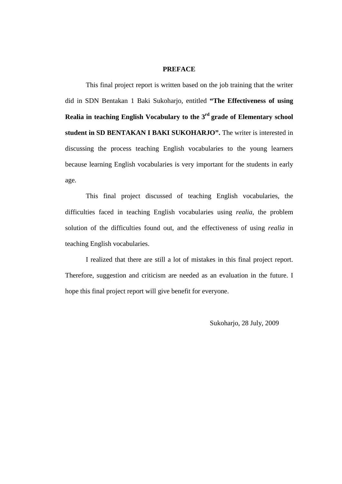#### **PREFACE**

This final project report is written based on the job training that the writer did in SDN Bentakan 1 Baki Sukoharjo, entitled **"The Effectiveness of using Realia** in teaching English Vocabulary to the 3<sup>rd</sup> grade of Elementary school **student in SD BENTAKAN I BAKI SUKOHARJO".** The writer is interested in discussing the process teaching English vocabularies to the young learners because learning English vocabularies is very important for the students in early age.

This final project discussed of teaching English vocabularies, the difficulties faced in teaching English vocabularies using *realia*, the problem solution of the difficulties found out, and the effectiveness of using *realia* in teaching English vocabularies.

I realized that there are still a lot of mistakes in this final project report. Therefore, suggestion and criticism are needed as an evaluation in the future. I hope this final project report will give benefit for everyone.

Sukoharjo, 28 July, 2009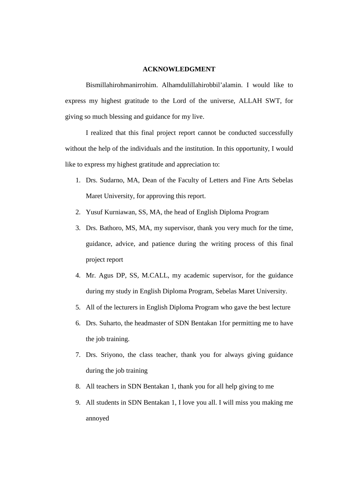#### **ACKNOWLEDGMENT**

Bismillahirohmanirrohim. Alhamdulillahirobbil'alamin. I would like to express my highest gratitude to the Lord of the universe, ALLAH SWT, for giving so much blessing and guidance for my live.

I realized that this final project report cannot be conducted successfully without the help of the individuals and the institution. In this opportunity, I would like to express my highest gratitude and appreciation to:

- 1. Drs. Sudarno, MA, Dean of the Faculty of Letters and Fine Arts Sebelas Maret University, for approving this report.
- 2. Yusuf Kurniawan, SS, MA, the head of English Diploma Program
- 3. Drs. Bathoro, MS, MA, my supervisor, thank you very much for the time, guidance, advice, and patience during the writing process of this final project report
- 4. Mr. Agus DP, SS, M.CALL, my academic supervisor, for the guidance during my study in English Diploma Program, Sebelas Maret University.
- 5. All of the lecturers in English Diploma Program who gave the best lecture
- 6. Drs. Suharto, the headmaster of SDN Bentakan 1for permitting me to have the job training.
- 7. Drs. Sriyono, the class teacher, thank you for always giving guidance during the job training
- 8. All teachers in SDN Bentakan 1, thank you for all help giving to me
- 9. All students in SDN Bentakan 1, I love you all. I will miss you making me annoyed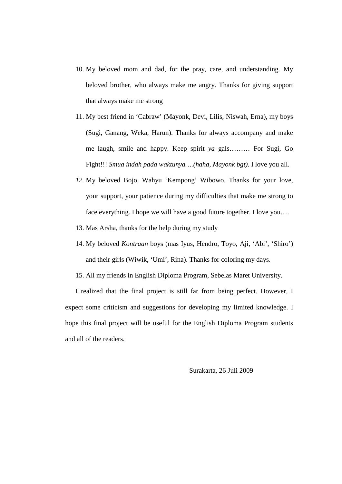- 10. My beloved mom and dad, for the pray, care, and understanding. My beloved brother, who always make me angry. Thanks for giving support that always make me strong
- 11. My best friend in 'Cabraw' (Mayonk, Devi, Lilis, Niswah, Erna), my boys (Sugi, Ganang, Weka, Harun). Thanks for always accompany and make me laugh, smile and happy. Keep spirit *ya* gals……… For Sugi, Go Fight!!! *Smua indah pada waktunya….(haha, Mayonk bgt).* I love you all.
- *12.* My beloved Bojo, Wahyu 'Kempong' Wibowo. Thanks for your love, your support, your patience during my difficulties that make me strong to face everything. I hope we will have a good future together. I love you….
- 13. Mas Arsha, thanks for the help during my study
- 14. My beloved *Kontraan* boys (mas Iyus, Hendro, Toyo, Aji, 'Abi', 'Shiro') and their girls (Wiwik, 'Umi', Rina). Thanks for coloring my days.
- 15. All my friends in English Diploma Program, Sebelas Maret University.

I realized that the final project is still far from being perfect. However, I expect some criticism and suggestions for developing my limited knowledge. I hope this final project will be useful for the English Diploma Program students and all of the readers.

Surakarta, 26 Juli 2009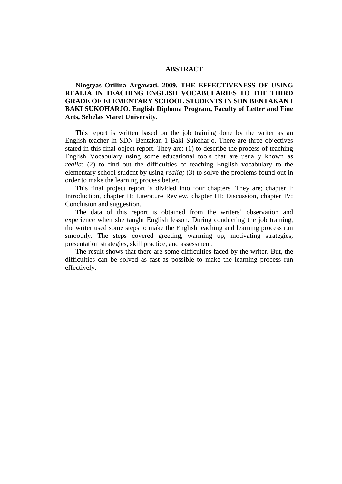#### **ABSTRACT**

#### **Ningtyas Orilina Argawati. 2009. THE EFFECTIVENESS OF USING REALIA IN TEACHING ENGLISH VOCABULARIES TO THE THIRD GRADE OF ELEMENTARY SCHOOL STUDENTS IN SDN BENTAKAN I BAKI SUKOHARJO. English Diploma Program, Faculty of Letter and Fine Arts, Sebelas Maret University.**

This report is written based on the job training done by the writer as an English teacher in SDN Bentakan 1 Baki Sukoharjo. There are three objectives stated in this final object report. They are: (1) to describe the process of teaching English Vocabulary using some educational tools that are usually known as *realia*; (2) to find out the difficulties of teaching English vocabulary to the elementary school student by using *realia;* (3) to solve the problems found out in order to make the learning process better.

This final project report is divided into four chapters. They are; chapter I: Introduction, chapter II: Literature Review, chapter III: Discussion, chapter IV: Conclusion and suggestion.

The data of this report is obtained from the writers' observation and experience when she taught English lesson. During conducting the job training, the writer used some steps to make the English teaching and learning process run smoothly. The steps covered greeting, warming up, motivating strategies, presentation strategies, skill practice, and assessment.

The result shows that there are some difficulties faced by the writer. But, the difficulties can be solved as fast as possible to make the learning process run effectively.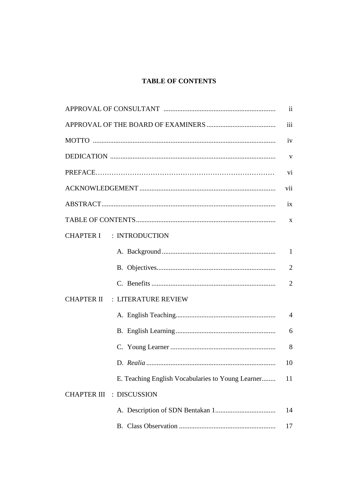#### **TABLE OF CONTENTS**

|                                                   | $\mathbf{ii}$  |
|---------------------------------------------------|----------------|
|                                                   | iii            |
|                                                   | iv             |
|                                                   | $\mathbf{V}$   |
|                                                   | vi             |
|                                                   | vii            |
|                                                   | ix             |
|                                                   | X              |
| <b>CHAPTER I : INTRODUCTION</b>                   |                |
|                                                   | $\mathbf{1}$   |
|                                                   | $\overline{2}$ |
|                                                   | $\overline{2}$ |
| <b>CHAPTER II : LITERATURE REVIEW</b>             |                |
|                                                   | $\overline{4}$ |
|                                                   | 6              |
|                                                   | 8              |
|                                                   | 10             |
| E. Teaching English Vocabularies to Young Learner | 11             |
| <b>CHAPTER III : DISCUSSION</b>                   |                |
|                                                   | 14             |
|                                                   | 17             |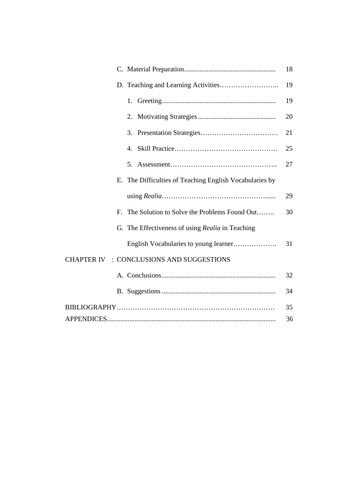|             |                                                      | 18 |
|-------------|------------------------------------------------------|----|
|             |                                                      | 19 |
|             |                                                      | 19 |
|             | 2.                                                   | 20 |
|             | 3.                                                   | 21 |
|             | 4.                                                   | 25 |
|             | 5.                                                   | 27 |
| Е.          | The Difficulties of Teaching English Vocabularies by |    |
|             |                                                      | 29 |
| $F_{\cdot}$ | The Solution to Solve the Problems Found Out         | 30 |
|             | G. The Effectiveness of using Realia in Teaching     |    |
|             |                                                      | 31 |
|             | CHAPTER IV : CONCLUSIONS AND SUGGESTIONS             |    |
|             |                                                      | 32 |
|             |                                                      | 34 |
|             |                                                      | 35 |
|             |                                                      | 36 |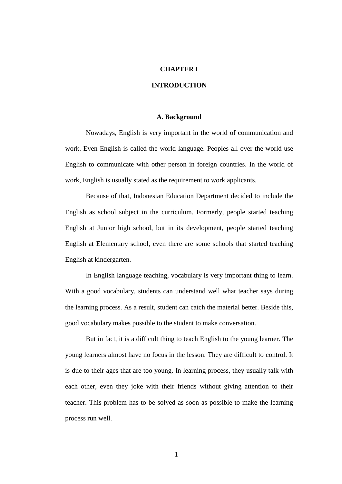#### **CHAPTER I**

#### **INTRODUCTION**

#### **A. Background**

Nowadays, English is very important in the world of communication and work. Even English is called the world language. Peoples all over the world use English to communicate with other person in foreign countries. In the world of work, English is usually stated as the requirement to work applicants.

Because of that, Indonesian Education Department decided to include the English as school subject in the curriculum. Formerly, people started teaching English at Junior high school, but in its development, people started teaching English at Elementary school, even there are some schools that started teaching English at kindergarten.

In English language teaching, vocabulary is very important thing to learn. With a good vocabulary, students can understand well what teacher says during the learning process. As a result, student can catch the material better. Beside this, good vocabulary makes possible to the student to make conversation.

But in fact, it is a difficult thing to teach English to the young learner. The young learners almost have no focus in the lesson. They are difficult to control. It is due to their ages that are too young. In learning process, they usually talk with each other, even they joke with their friends without giving attention to their teacher. This problem has to be solved as soon as possible to make the learning process run well.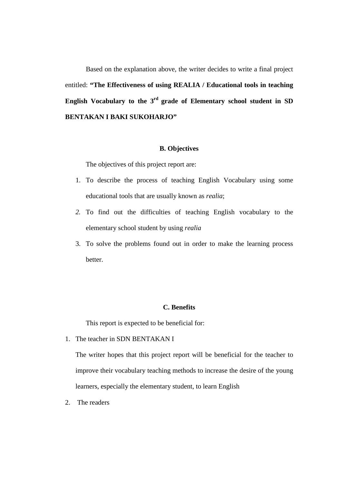Based on the explanation above, the writer decides to write a final project entitled: **"The Effectiveness of using REALIA / Educational tools in teaching English Vocabulary to the 3rd grade of Elementary school student in SD BENTAKAN I BAKI SUKOHARJO"**

#### **B. Objectives**

The objectives of this project report are:

- 1. To describe the process of teaching English Vocabulary using some educational tools that are usually known as *realia*;
- *2.* To find out the difficulties of teaching English vocabulary to the elementary school student by using *realia*
- 3. To solve the problems found out in order to make the learning process better.

#### **C. Benefits**

This report is expected to be beneficial for:

1. The teacher in SDN BENTAKAN I

The writer hopes that this project report will be beneficial for the teacher to improve their vocabulary teaching methods to increase the desire of the young learners, especially the elementary student, to learn English

2. The readers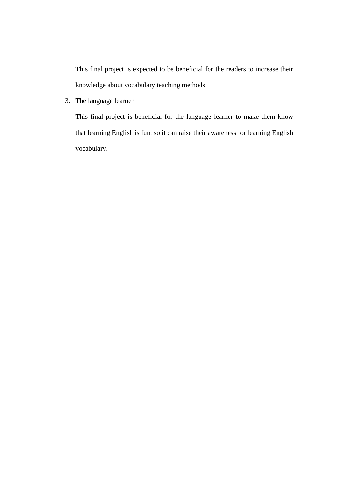This final project is expected to be beneficial for the readers to increase their knowledge about vocabulary teaching methods

3. The language learner

This final project is beneficial for the language learner to make them know that learning English is fun, so it can raise their awareness for learning English vocabulary.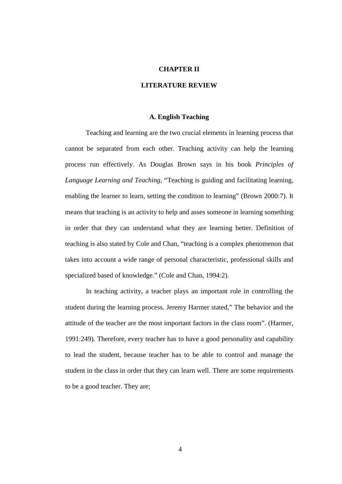#### **CHAPTER II**

#### **LITERATURE REVIEW**

#### **A. English Teaching**

Teaching and learning are the two crucial elements in learning process that cannot be separated from each other. Teaching activity can help the learning process run effectively. As Douglas Brown says in his book *Principles of Language Learning and Teaching*, "Teaching is guiding and facilitating learning, enabling the learner to learn, setting the condition to learning" (Brown 2000:7). It means that teaching is an activity to help and asses someone in learning something in order that they can understand what they are learning better. Definition of teaching is also stated by Cole and Chan, "teaching is a complex phenomenon that takes into account a wide range of personal characteristic, professional skills and specialized based of knowledge." (Cole and Chan, 1994:2).

In teaching activity, a teacher plays an important role in controlling the student during the learning process. Jeremy Harmer stated," The behavior and the attitude of the teacher are the most important factors in the class room". (Harmer, 1991:249). Therefore, every teacher has to have a good personality and capability to lead the student, because teacher has to be able to control and manage the student in the class in order that they can learn well. There are some requirements to be a good teacher. They are;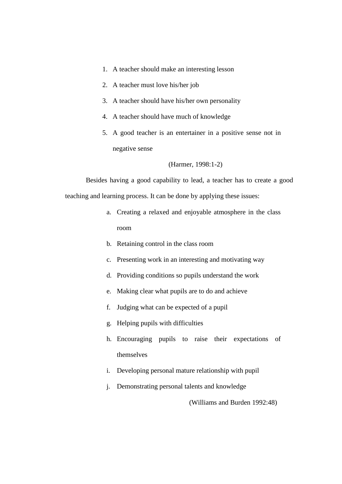- 1. A teacher should make an interesting lesson
- 2. A teacher must love his/her job
- 3. A teacher should have his/her own personality
- 4. A teacher should have much of knowledge
- 5. A good teacher is an entertainer in a positive sense not in negative sense
	- (Harmer, 1998:1-2)

Besides having a good capability to lead, a teacher has to create a good teaching and learning process. It can be done by applying these issues:

- a. Creating a relaxed and enjoyable atmosphere in the class room
- b. Retaining control in the class room
- c. Presenting work in an interesting and motivating way
- d. Providing conditions so pupils understand the work
- e. Making clear what pupils are to do and achieve
- f. Judging what can be expected of a pupil
- g. Helping pupils with difficulties
- h. Encouraging pupils to raise their expectations of themselves
- i. Developing personal mature relationship with pupil
- j. Demonstrating personal talents and knowledge

(Williams and Burden 1992:48)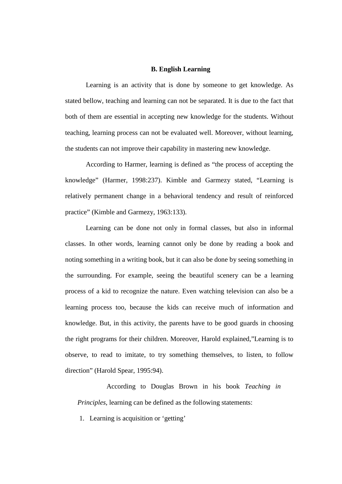#### **B. English Learning**

Learning is an activity that is done by someone to get knowledge. As stated bellow, teaching and learning can not be separated. It is due to the fact that both of them are essential in accepting new knowledge for the students. Without teaching, learning process can not be evaluated well. Moreover, without learning, the students can not improve their capability in mastering new knowledge.

According to Harmer, learning is defined as "the process of accepting the knowledge" (Harmer, 1998:237). Kimble and Garmezy stated, "Learning is relatively permanent change in a behavioral tendency and result of reinforced practice" (Kimble and Garmezy, 1963:133).

Learning can be done not only in formal classes, but also in informal classes. In other words, learning cannot only be done by reading a book and noting something in a writing book, but it can also be done by seeing something in the surrounding. For example, seeing the beautiful scenery can be a learning process of a kid to recognize the nature. Even watching television can also be a learning process too, because the kids can receive much of information and knowledge. But, in this activity, the parents have to be good guards in choosing the right programs for their children. Moreover, Harold explained,"Learning is to observe, to read to imitate, to try something themselves, to listen, to follow direction" (Harold Spear, 1995:94).

According to Douglas Brown in his book *Teaching in Principles*, learning can be defined as the following statements:

1. Learning is acquisition or 'getting'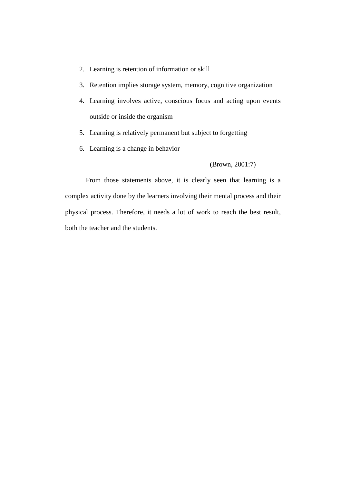- 2. Learning is retention of information or skill
- 3. Retention implies storage system, memory, cognitive organization
- 4. Learning involves active, conscious focus and acting upon events outside or inside the organism
- 5. Learning is relatively permanent but subject to forgetting
- 6. Learning is a change in behavior

#### (Brown, 2001:7)

From those statements above, it is clearly seen that learning is a complex activity done by the learners involving their mental process and their physical process. Therefore, it needs a lot of work to reach the best result, both the teacher and the students.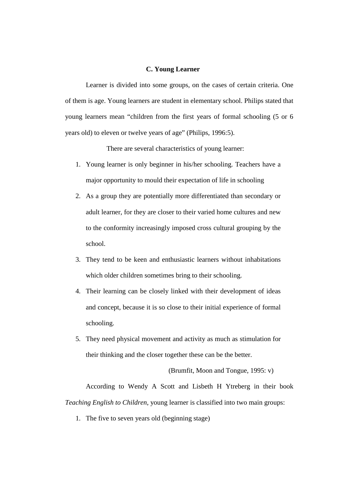#### **C. Young Learner**

Learner is divided into some groups, on the cases of certain criteria. One of them is age. Young learners are student in elementary school. Philips stated that young learners mean "children from the first years of formal schooling (5 or 6 years old) to eleven or twelve years of age" (Philips, 1996:5).

There are several characteristics of young learner:

- 1. Young learner is only beginner in his/her schooling. Teachers have a major opportunity to mould their expectation of life in schooling
- 2. As a group they are potentially more differentiated than secondary or adult learner, for they are closer to their varied home cultures and new to the conformity increasingly imposed cross cultural grouping by the school.
- 3. They tend to be keen and enthusiastic learners without inhabitations which older children sometimes bring to their schooling.
- 4. Their learning can be closely linked with their development of ideas and concept, because it is so close to their initial experience of formal schooling.
- 5. They need physical movement and activity as much as stimulation for their thinking and the closer together these can be the better.

(Brumfit, Moon and Tongue, 1995: v)

According to Wendy A Scott and Lisbeth H Ytreberg in their book *Teaching English to Children*, young learner is classified into two main groups:

1. The five to seven years old (beginning stage)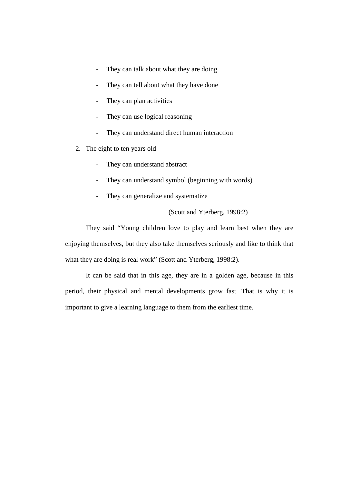- They can talk about what they are doing
- They can tell about what they have done
- They can plan activities
- They can use logical reasoning
- They can understand direct human interaction
- 2. The eight to ten years old
	- They can understand abstract
	- They can understand symbol (beginning with words)
	- They can generalize and systematize

(Scott and Yterberg, 1998:2)

They said "Young children love to play and learn best when they are enjoying themselves, but they also take themselves seriously and like to think that what they are doing is real work" (Scott and Yterberg, 1998:2).

It can be said that in this age, they are in a golden age, because in this period, their physical and mental developments grow fast. That is why it is important to give a learning language to them from the earliest time.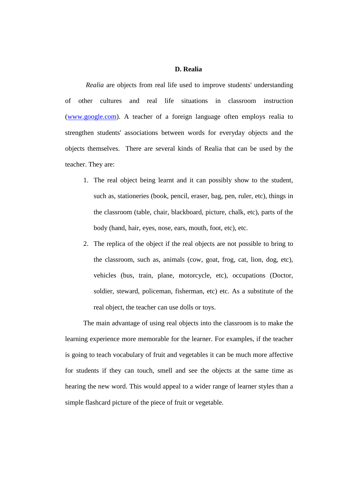#### **D. Realia**

*Realia* are objects from real life used to improve students' understanding of other cultures and real life situations in classroom instruction (www.google.com). A teacher of a foreign language often employs realia to strengthen students' associations between words for everyday objects and the objects themselves. There are several kinds of Realia that can be used by the teacher. They are:

- 1. The real object being learnt and it can possibly show to the student, such as, stationeries (book, pencil, eraser, bag, pen, ruler, etc), things in the classroom (table, chair, blackboard, picture, chalk, etc), parts of the body (hand, hair, eyes, nose, ears, mouth, foot, etc), etc.
- 2. The replica of the object if the real objects are not possible to bring to the classroom, such as, animals (cow, goat, frog, cat, lion, dog, etc), vehicles (bus, train, plane, motorcycle, etc), occupations (Doctor, soldier, steward, policeman, fisherman, etc) etc. As a substitute of the real object, the teacher can use dolls or toys.

The main advantage of using real objects into the classroom is to make the learning experience more memorable for the learner. For examples, if the teacher is going to teach vocabulary of fruit and vegetables it can be much more affective for students if they can touch, smell and see the objects at the same time as hearing the new word. This would appeal to a wider range of learner styles than a simple flashcard picture of the piece of fruit or vegetable.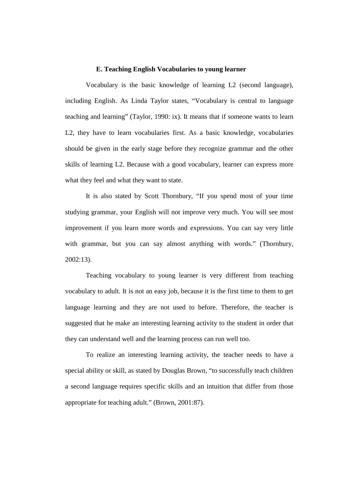#### **E. Teaching English Vocabularies to young learner**

Vocabulary is the basic knowledge of learning L2 (second language), including English. As Linda Taylor states, "Vocabulary is central to language teaching and learning" (Taylor, 1990: ix). It means that if someone wants to learn L2, they have to learn vocabularies first. As a basic knowledge, vocabularies should be given in the early stage before they recognize grammar and the other skills of learning L2. Because with a good vocabulary, learner can express more what they feel and what they want to state.

It is also stated by Scott Thornbury, "If you spend most of your time studying grammar, your English will not improve very much. You will see most improvement if you learn more words and expressions. You can say very little with grammar, but you can say almost anything with words." (Thornbury, 2002:13).

Teaching vocabulary to young learner is very different from teaching vocabulary to adult. It is not an easy job, because it is the first time to them to get language learning and they are not used to before. Therefore, the teacher is suggested that he make an interesting learning activity to the student in order that they can understand well and the learning process can run well too.

To realize an interesting learning activity, the teacher needs to have a special ability or skill, as stated by Douglas Brown, "to successfully teach children a second language requires specific skills and an intuition that differ from those appropriate for teaching adult." (Brown, 2001:87).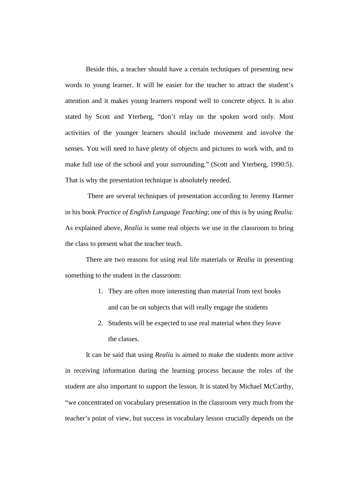Beside this, a teacher should have a certain techniques of presenting new words to young learner. It will be easier for the teacher to attract the student's attention and it makes young learners respond well to concrete object. It is also stated by Scott and Yterberg, "don't relay on the spoken word only. Most activities of the younger learners should include movement and involve the senses. You will need to have plenty of objects and pictures to work with, and to make full use of the school and your surrounding." (Scott and Yterberg, 1990:5). That is why the presentation technique is absolutely needed.

 There are several techniques of presentation according to Jeremy Harmer in his book *Practice of English Language Teaching*; one of this is by using *Realia*. As explained above, *Realia* is some real objects we use in the classroom to bring the class to present what the teacher teach.

There are two reasons for using real life materials or *Realia* in presenting something to the student in the classroom:

- 1. They are often more interesting than material from text books and can be on subjects that will really engage the students
- 2. Students will be expected to use real material when they leave the classes.

It can be said that using *Realia* is aimed to make the students more active in receiving information during the learning process because the roles of the student are also important to support the lesson. It is stated by Michael McCarthy, "we concentrated on vocabulary presentation in the classroom very much from the teacher's point of view, but success in vocabulary lesson crucially depends on the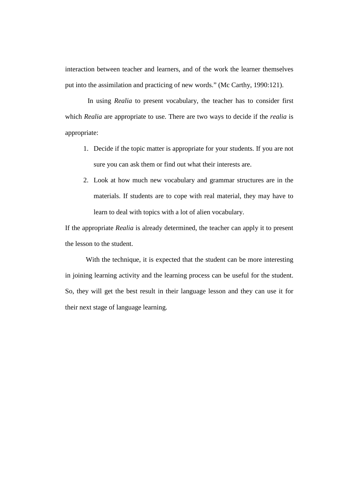interaction between teacher and learners, and of the work the learner themselves put into the assimilation and practicing of new words." (Mc Carthy, 1990:121).

 In using *Realia* to present vocabulary, the teacher has to consider first which *Realia* are appropriate to use. There are two ways to decide if the *realia* is appropriate:

- 1. Decide if the topic matter is appropriate for your students. If you are not sure you can ask them or find out what their interests are.
- 2. Look at how much new vocabulary and grammar structures are in the materials. If students are to cope with real material, they may have to learn to deal with topics with a lot of alien vocabulary.

If the appropriate *Realia* is already determined, the teacher can apply it to present the lesson to the student.

With the technique, it is expected that the student can be more interesting in joining learning activity and the learning process can be useful for the student. So, they will get the best result in their language lesson and they can use it for their next stage of language learning.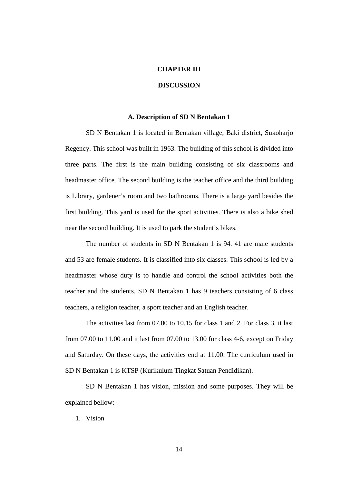#### **CHAPTER III**

#### **DISCUSSION**

#### **A. Description of SD N Bentakan 1**

SD N Bentakan 1 is located in Bentakan village, Baki district, Sukoharjo Regency. This school was built in 1963. The building of this school is divided into three parts. The first is the main building consisting of six classrooms and headmaster office. The second building is the teacher office and the third building is Library, gardener's room and two bathrooms. There is a large yard besides the first building. This yard is used for the sport activities. There is also a bike shed near the second building. It is used to park the student's bikes.

The number of students in SD N Bentakan 1 is 94. 41 are male students and 53 are female students. It is classified into six classes. This school is led by a headmaster whose duty is to handle and control the school activities both the teacher and the students. SD N Bentakan 1 has 9 teachers consisting of 6 class teachers, a religion teacher, a sport teacher and an English teacher.

The activities last from 07.00 to 10.15 for class 1 and 2. For class 3, it last from 07.00 to 11.00 and it last from 07.00 to 13.00 for class 4-6, except on Friday and Saturday. On these days, the activities end at 11.00. The curriculum used in SD N Bentakan 1 is KTSP (Kurikulum Tingkat Satuan Pendidikan).

SD N Bentakan 1 has vision, mission and some purposes. They will be explained bellow:

1. Vision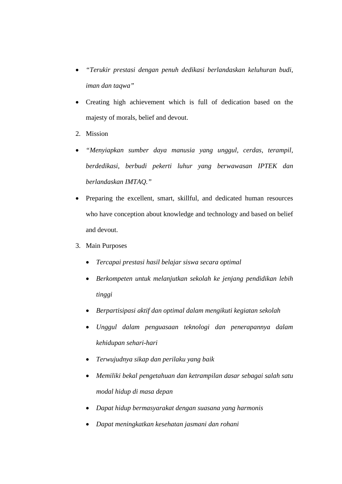- · *"Terukir prestasi dengan penuh dedikasi berlandaskan keluhuran budi, iman dan taqwa"*
- Creating high achievement which is full of dedication based on the majesty of morals, belief and devout.
- 2. Mission
- · *"Menyiapkan sumber daya manusia yang unggul, cerdas, terampil, berdedikasi, berbudi pekerti luhur yang berwawasan IPTEK dan berlandaskan IMTAQ."*
- · Preparing the excellent, smart, skillful, and dedicated human resources who have conception about knowledge and technology and based on belief and devout.
- 3. Main Purposes
	- · *Tercapai prestasi hasil belajar siswa secara optimal*
	- · *Berkompeten untuk melanjutkan sekolah ke jenjang pendidikan lebih tinggi*
	- · *Berpartisipasi aktif dan optimal dalam mengikuti kegiatan sekolah*
	- · *Unggul dalam penguasaan teknologi dan penerapannya dalam kehidupan sehari-hari*
	- · *Terwujudnya sikap dan perilaku yang baik*
	- · *Memiliki bekal pengetahuan dan ketrampilan dasar sebagai salah satu modal hidup di masa depan*
	- · *Dapat hidup bermasyarakat dengan suasana yang harmonis*
	- · *Dapat meningkatkan kesehatan jasmani dan rohani*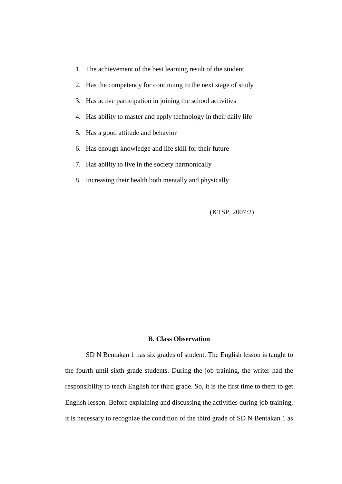- 1. The achievement of the best learning result of the student
- 2. Has the competency for continuing to the next stage of study
- 3. Has active participation in joining the school activities
- 4. Has ability to master and apply technology in their daily life
- 5. Has a good attitude and behavior
- 6. Has enough knowledge and life skill for their future
- 7. Has ability to live in the society harmonically
- 8. Increasing their health both mentally and physically

(KTSP, 2007:2)

#### **B. Class Observation**

SD N Bentakan 1 has six grades of student. The English lesson is taught to the fourth until sixth grade students. During the job training, the writer had the responsibility to teach English for third grade. So, it is the first time to them to get English lesson. Before explaining and discussing the activities during job training, it is necessary to recognize the condition of the third grade of SD N Bentakan 1 as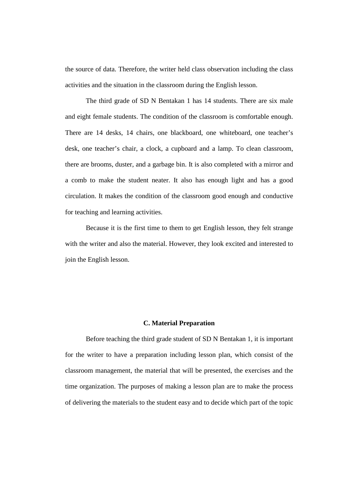the source of data. Therefore, the writer held class observation including the class activities and the situation in the classroom during the English lesson.

The third grade of SD N Bentakan 1 has 14 students. There are six male and eight female students. The condition of the classroom is comfortable enough. There are 14 desks, 14 chairs, one blackboard, one whiteboard, one teacher's desk, one teacher's chair, a clock, a cupboard and a lamp. To clean classroom, there are brooms, duster, and a garbage bin. It is also completed with a mirror and a comb to make the student neater. It also has enough light and has a good circulation. It makes the condition of the classroom good enough and conductive for teaching and learning activities.

Because it is the first time to them to get English lesson, they felt strange with the writer and also the material. However, they look excited and interested to join the English lesson.

#### **C. Material Preparation**

Before teaching the third grade student of SD N Bentakan 1, it is important for the writer to have a preparation including lesson plan, which consist of the classroom management, the material that will be presented, the exercises and the time organization. The purposes of making a lesson plan are to make the process of delivering the materials to the student easy and to decide which part of the topic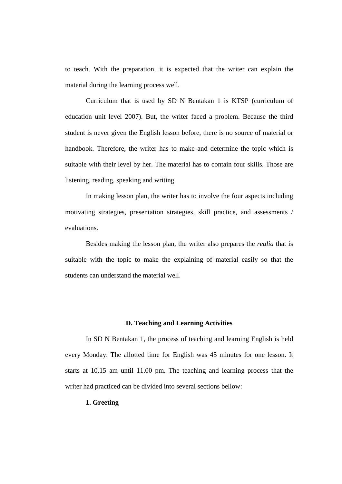to teach. With the preparation, it is expected that the writer can explain the material during the learning process well.

Curriculum that is used by SD N Bentakan 1 is KTSP (curriculum of education unit level 2007). But, the writer faced a problem. Because the third student is never given the English lesson before, there is no source of material or handbook. Therefore, the writer has to make and determine the topic which is suitable with their level by her. The material has to contain four skills. Those are listening, reading, speaking and writing.

In making lesson plan, the writer has to involve the four aspects including motivating strategies, presentation strategies, skill practice, and assessments / evaluations.

Besides making the lesson plan, the writer also prepares the *realia* that is suitable with the topic to make the explaining of material easily so that the students can understand the material well.

#### **D. Teaching and Learning Activities**

In SD N Bentakan 1, the process of teaching and learning English is held every Monday. The allotted time for English was 45 minutes for one lesson. It starts at 10.15 am until 11.00 pm. The teaching and learning process that the writer had practiced can be divided into several sections bellow:

#### **1. Greeting**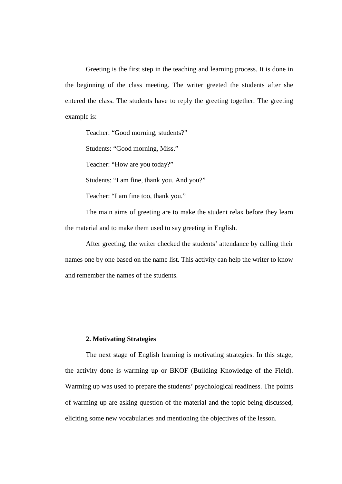Greeting is the first step in the teaching and learning process. It is done in the beginning of the class meeting. The writer greeted the students after she entered the class. The students have to reply the greeting together. The greeting example is:

Teacher: "Good morning, students?"

Students: "Good morning, Miss."

Teacher: "How are you today?"

Students: "I am fine, thank you. And you?"

Teacher: "I am fine too, thank you."

The main aims of greeting are to make the student relax before they learn the material and to make them used to say greeting in English.

After greeting, the writer checked the students' attendance by calling their names one by one based on the name list. This activity can help the writer to know and remember the names of the students.

#### **2. Motivating Strategies**

The next stage of English learning is motivating strategies. In this stage, the activity done is warming up or BKOF (Building Knowledge of the Field). Warming up was used to prepare the students' psychological readiness. The points of warming up are asking question of the material and the topic being discussed, eliciting some new vocabularies and mentioning the objectives of the lesson.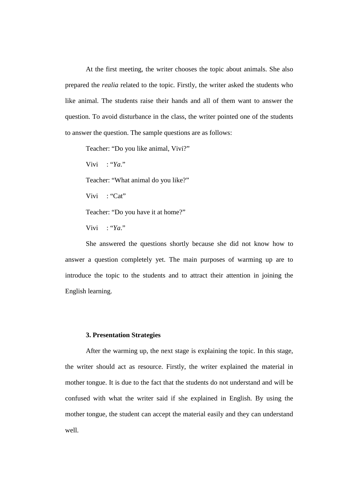At the first meeting, the writer chooses the topic about animals. She also prepared the *realia* related to the topic. Firstly, the writer asked the students who like animal. The students raise their hands and all of them want to answer the question. To avoid disturbance in the class, the writer pointed one of the students to answer the question. The sample questions are as follows:

Teacher: "Do you like animal, Vivi?"

Vivi : "*Ya*."

Teacher: "What animal do you like?"

Vivi : "Cat"

Teacher: "Do you have it at home?"

Vivi : "*Ya*."

She answered the questions shortly because she did not know how to answer a question completely yet. The main purposes of warming up are to introduce the topic to the students and to attract their attention in joining the English learning.

#### **3. Presentation Strategies**

After the warming up, the next stage is explaining the topic. In this stage, the writer should act as resource. Firstly, the writer explained the material in mother tongue. It is due to the fact that the students do not understand and will be confused with what the writer said if she explained in English. By using the mother tongue, the student can accept the material easily and they can understand well.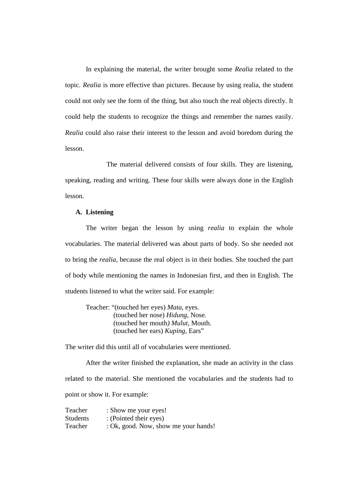In explaining the material, the writer brought some *Realia* related to the topic. *Realia* is more effective than pictures. Because by using realia, the student could not only see the form of the thing, but also touch the real objects directly. It could help the students to recognize the things and remember the names easily. *Realia* could also raise their interest to the lesson and avoid boredom during the lesson.

The material delivered consists of four skills. They are listening, speaking, reading and writing. These four skills were always done in the English lesson.

#### **A. Listening**

The writer began the lesson by using *realia* to explain the whole vocabularies. The material delivered was about parts of body. So she needed not to bring the *realia*, because the real object is in their bodies. She touched the part of body while mentioning the names in Indonesian first, and then in English. The students listened to what the writer said. For example:

Teacher: "(touched her eyes) *Mata,* eyes. (touched her nose) *Hidung*, Nose. (touched her mouth*) Mulut*, Mouth. (touched her ears) *Kuping*, Ears"

The writer did this until all of vocabularies were mentioned.

After the writer finished the explanation, she made an activity in the class related to the material. She mentioned the vocabularies and the students had to point or show it. For example:

Teacher : Show me your eyes! Students : (Pointed their eyes) Teacher : Ok, good. Now, show me your hands!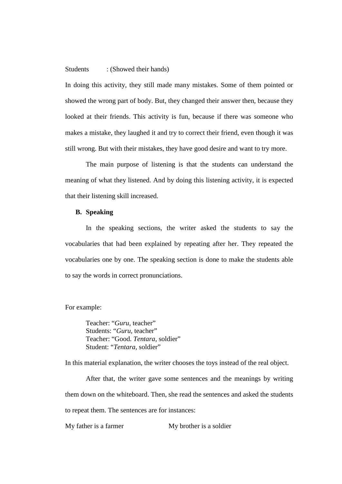#### Students : (Showed their hands)

In doing this activity, they still made many mistakes. Some of them pointed or showed the wrong part of body. But, they changed their answer then, because they looked at their friends. This activity is fun, because if there was someone who makes a mistake, they laughed it and try to correct their friend, even though it was still wrong. But with their mistakes, they have good desire and want to try more.

The main purpose of listening is that the students can understand the meaning of what they listened. And by doing this listening activity, it is expected that their listening skill increased.

#### **B. Speaking**

In the speaking sections, the writer asked the students to say the vocabularies that had been explained by repeating after her. They repeated the vocabularies one by one. The speaking section is done to make the students able to say the words in correct pronunciations.

For example:

Teacher: "*Guru,* teacher" Students: "*Guru*, teacher" Teacher: "Good. *Tentara*, soldier" Student: "*Tentara*, soldier"

In this material explanation, the writer chooses the toys instead of the real object.

After that, the writer gave some sentences and the meanings by writing them down on the whiteboard. Then, she read the sentences and asked the students to repeat them. The sentences are for instances:

My father is a farmer My brother is a soldier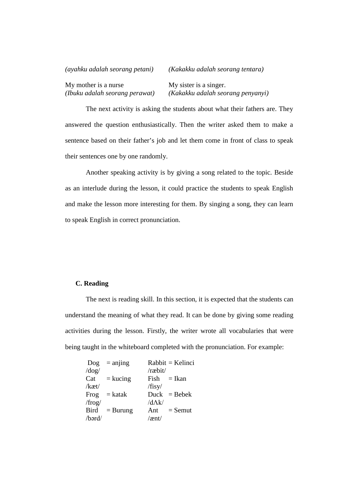| (ayahku adalah seorang petani) | (Kakakku adalah seorang tentara)  |  |  |
|--------------------------------|-----------------------------------|--|--|
| My mother is a nurse           | My sister is a singer.            |  |  |
| (Ibuku adalah seorang perawat) | (Kakakku adalah seorang penyanyi) |  |  |

The next activity is asking the students about what their fathers are. They answered the question enthusiastically. Then the writer asked them to make a sentence based on their father's job and let them come in front of class to speak their sentences one by one randomly.

Another speaking activity is by giving a song related to the topic. Beside as an interlude during the lesson, it could practice the students to speak English and make the lesson more interesting for them. By singing a song, they can learn to speak English in correct pronunciation.

#### **C. Reading**

The next is reading skill. In this section, it is expected that the students can understand the meaning of what they read. It can be done by giving some reading activities during the lesson. Firstly, the writer wrote all vocabularies that were being taught in the whiteboard completed with the pronunciation. For example:

|              | $\text{Dog}$ = anjing |                 | $Rabbit = Kelinei$ |
|--------------|-----------------------|-----------------|--------------------|
| $\log$       |                       | /ræbit/         |                    |
| Cat          | $=$ kucing            |                 | $Fish = Ikan$      |
| $/$ kæt $/$  |                       | /fisy/          |                    |
| Frog         | $=$ katak             |                 | $Duck = Bebek$     |
| $/$ frog $/$ |                       | /d $\Lambda$ k/ |                    |
| Bird         | $=$ Burung            | Ant             | $=$ Semut          |
| /bərd/       |                       | $/$ ænt $/$     |                    |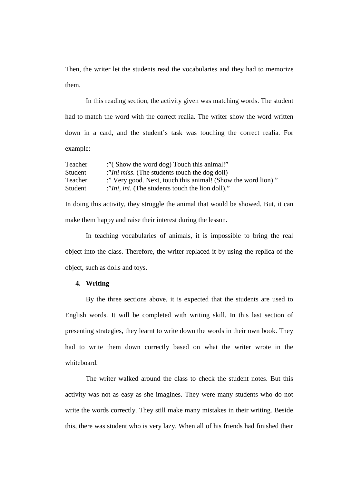Then, the writer let the students read the vocabularies and they had to memorize them.

In this reading section, the activity given was matching words. The student had to match the word with the correct realia. The writer show the word written down in a card, and the student's task was touching the correct realia. For example:

| Teacher | "(Show the word dog) Touch this animal!"                      |
|---------|---------------------------------------------------------------|
| Student | :"Ini miss. (The students touch the dog doll)                 |
| Teacher | :" Very good. Next, touch this animal! (Show the word lion)." |
| Student | :"Ini, ini. (The students touch the lion doll)."              |
|         |                                                               |

In doing this activity, they struggle the animal that would be showed. But, it can make them happy and raise their interest during the lesson.

In teaching vocabularies of animals, it is impossible to bring the real object into the class. Therefore, the writer replaced it by using the replica of the object, such as dolls and toys.

#### **4. Writing**

By the three sections above, it is expected that the students are used to English words. It will be completed with writing skill. In this last section of presenting strategies, they learnt to write down the words in their own book. They had to write them down correctly based on what the writer wrote in the whiteboard.

The writer walked around the class to check the student notes. But this activity was not as easy as she imagines. They were many students who do not write the words correctly. They still make many mistakes in their writing. Beside this, there was student who is very lazy. When all of his friends had finished their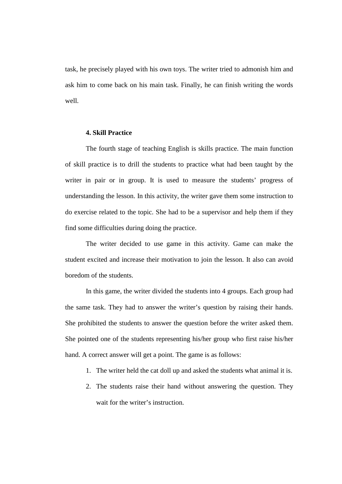task, he precisely played with his own toys. The writer tried to admonish him and ask him to come back on his main task. Finally, he can finish writing the words well.

#### **4. Skill Practice**

The fourth stage of teaching English is skills practice. The main function of skill practice is to drill the students to practice what had been taught by the writer in pair or in group. It is used to measure the students' progress of understanding the lesson. In this activity, the writer gave them some instruction to do exercise related to the topic. She had to be a supervisor and help them if they find some difficulties during doing the practice.

The writer decided to use game in this activity. Game can make the student excited and increase their motivation to join the lesson. It also can avoid boredom of the students.

In this game, the writer divided the students into 4 groups. Each group had the same task. They had to answer the writer's question by raising their hands. She prohibited the students to answer the question before the writer asked them. She pointed one of the students representing his/her group who first raise his/her hand. A correct answer will get a point. The game is as follows:

- 1. The writer held the cat doll up and asked the students what animal it is.
- 2. The students raise their hand without answering the question. They wait for the writer's instruction.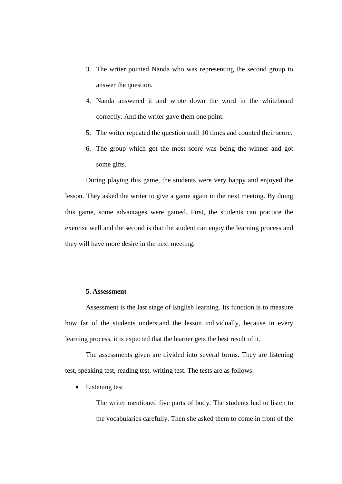- 3. The writer pointed Nanda who was representing the second group to answer the question.
- 4. Nanda answered it and wrote down the word in the whiteboard correctly. And the writer gave them one point.
- 5. The writer repeated the question until 10 times and counted their score.
- 6. The group which got the most score was being the winner and got some gifts.

During playing this game, the students were very happy and enjoyed the lesson. They asked the writer to give a game again in the next meeting. By doing this game, some advantages were gained. First, the students can practice the exercise well and the second is that the student can enjoy the learning process and they will have more desire in the next meeting.

#### **5. Assessment**

Assessment is the last stage of English learning. Its function is to measure how far of the students understand the lesson individually, because in every learning process, it is expected that the learner gets the best result of it.

The assessments given are divided into several forms. They are listening test, speaking test, reading test, writing test. The tests are as follows:

• Listening test

The writer mentioned five parts of body. The students had to listen to the vocabularies carefully. Then she asked them to come in front of the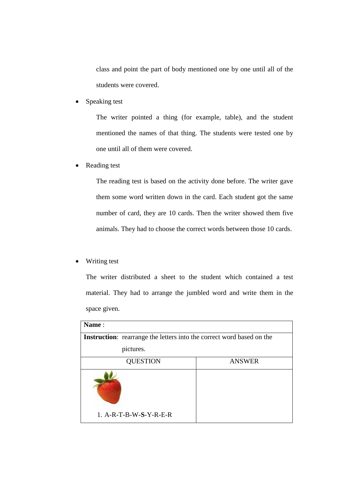class and point the part of body mentioned one by one until all of the students were covered.

Speaking test

The writer pointed a thing (for example, table), and the student mentioned the names of that thing. The students were tested one by one until all of them were covered.

• Reading test

The reading test is based on the activity done before. The writer gave them some word written down in the card. Each student got the same number of card, they are 10 cards. Then the writer showed them five animals. They had to choose the correct words between those 10 cards.

· Writing test

The writer distributed a sheet to the student which contained a test material. They had to arrange the jumbled word and write them in the space given.

| Name:                                                                        |               |  |
|------------------------------------------------------------------------------|---------------|--|
| <b>Instruction:</b> rearrange the letters into the correct word based on the |               |  |
| pictures.                                                                    |               |  |
| <b>QUESTION</b>                                                              | <b>ANSWER</b> |  |
| 1. A-R-T-B-W-S-Y-R-E-R                                                       |               |  |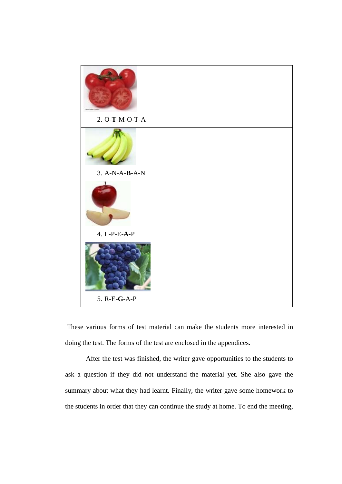

 These various forms of test material can make the students more interested in doing the test. The forms of the test are enclosed in the appendices.

After the test was finished, the writer gave opportunities to the students to ask a question if they did not understand the material yet. She also gave the summary about what they had learnt. Finally, the writer gave some homework to the students in order that they can continue the study at home. To end the meeting,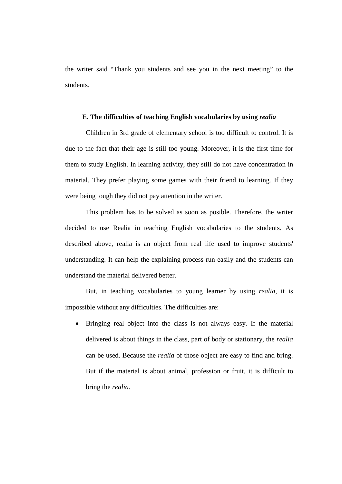the writer said "Thank you students and see you in the next meeting" to the students.

#### **E. The difficulties of teaching English vocabularies by using** *realia*

Children in 3rd grade of elementary school is too difficult to control. It is due to the fact that their age is still too young. Moreover, it is the first time for them to study English. In learning activity, they still do not have concentration in material. They prefer playing some games with their friend to learning. If they were being tough they did not pay attention in the writer.

This problem has to be solved as soon as posible. Therefore, the writer decided to use Realia in teaching English vocabularies to the students. As described above, realia is an object from real life used to improve students' understanding. It can help the explaining process run easily and the students can understand the material delivered better.

But, in teaching vocabularies to young learner by using *realia*, it is impossible without any difficulties. The difficulties are:

· Bringing real object into the class is not always easy. If the material delivered is about things in the class, part of body or stationary, the *realia* can be used. Because the *realia* of those object are easy to find and bring. But if the material is about animal, profession or fruit, it is difficult to bring the *realia*.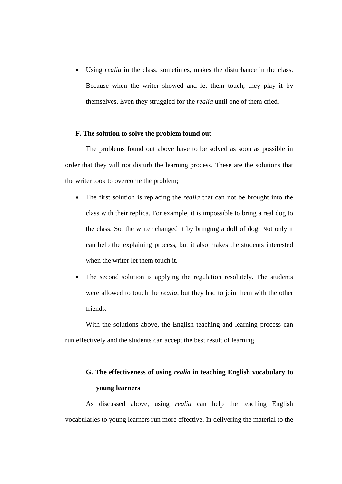Using *realia* in the class, sometimes, makes the disturbance in the class. Because when the writer showed and let them touch, they play it by themselves. Even they struggled for the *realia* until one of them cried.

#### **F. The solution to solve the problem found out**

The problems found out above have to be solved as soon as possible in order that they will not disturb the learning process. These are the solutions that the writer took to overcome the problem;

- · The first solution is replacing the *realia* that can not be brought into the class with their replica. For example, it is impossible to bring a real dog to the class. So, the writer changed it by bringing a doll of dog. Not only it can help the explaining process, but it also makes the students interested when the writer let them touch it.
- The second solution is applying the regulation resolutely. The students were allowed to touch the *realia*, but they had to join them with the other friends.

With the solutions above, the English teaching and learning process can run effectively and the students can accept the best result of learning.

### **G. The effectiveness of using** *realia* **in teaching English vocabulary to young learners**

As discussed above, using *realia* can help the teaching English vocabularies to young learners run more effective. In delivering the material to the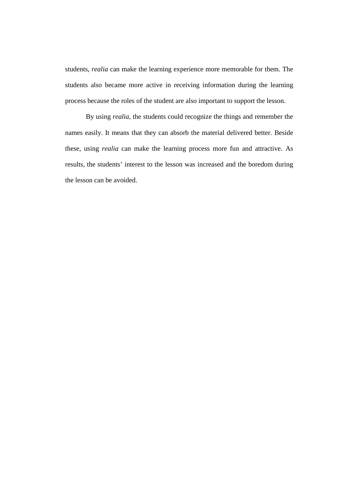students, *realia* can make the learning experience more memorable for them. The students also became more active in receiving information during the learning process because the roles of the student are also important to support the lesson.

By using *realia,* the students could recognize the things and remember the names easily. It means that they can absorb the material delivered better. Beside these, using *realia* can make the learning process more fun and attractive. As results, the students' interest to the lesson was increased and the boredom during the lesson can be avoided.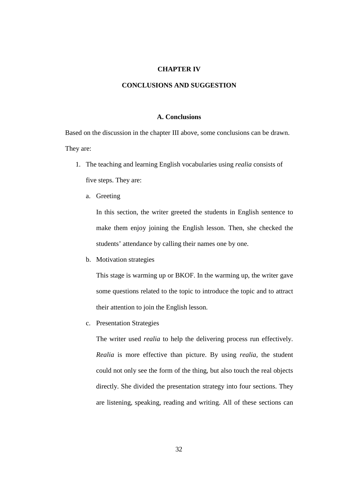#### **CHAPTER IV**

#### **CONCLUSIONS AND SUGGESTION**

#### **A. Conclusions**

Based on the discussion in the chapter III above, some conclusions can be drawn. They are:

- 1. The teaching and learning English vocabularies using *realia* consists of five steps. They are:
	- a. Greeting

In this section, the writer greeted the students in English sentence to make them enjoy joining the English lesson. Then, she checked the students' attendance by calling their names one by one.

b. Motivation strategies

This stage is warming up or BKOF. In the warming up, the writer gave some questions related to the topic to introduce the topic and to attract their attention to join the English lesson.

c. Presentation Strategies

The writer used *realia* to help the delivering process run effectively. *Realia* is more effective than picture. By using *realia,* the student could not only see the form of the thing, but also touch the real objects directly. She divided the presentation strategy into four sections. They are listening, speaking, reading and writing. All of these sections can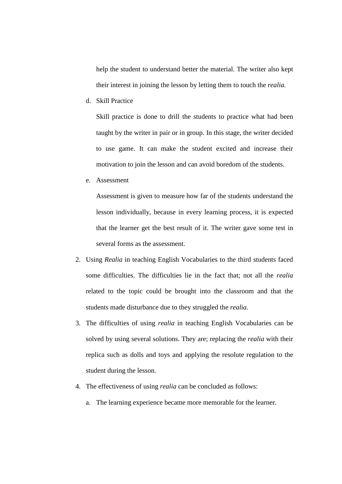help the student to understand better the material. The writer also kept their interest in joining the lesson by letting them to touch the *realia.*

d. Skill Practice

Skill practice is done to drill the students to practice what had been taught by the writer in pair or in group. In this stage, the writer decided to use game. It can make the student excited and increase their motivation to join the lesson and can avoid boredom of the students.

e. Assessment

Assessment is given to measure how far of the students understand the lesson individually, because in every learning process, it is expected that the learner get the best result of it. The writer gave some test in several forms as the assessment.

- 2. Using *Realia* in teaching English Vocabularies to the third students faced some difficulties. The difficulties lie in the fact that; not all the *realia* related to the topic could be brought into the classroom and that the students made disturbance due to they struggled the *realia.*
- 3. The difficulties of using *realia* in teaching English Vocabularies can be solved by using several solutions. They are; replacing the *realia* with their replica such as dolls and toys and applying the resolute regulation to the student during the lesson.
- 4. The effectiveness of using *realia* can be concluded as follows:
	- a. The learning experience became more memorable for the learner.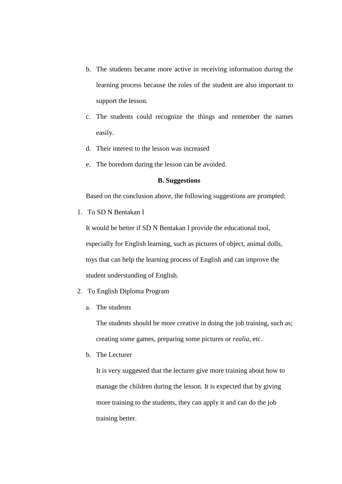- b. The students became more active in receiving information during the learning process because the roles of the student are also important to support the lesson.
- c. The students could recognize the things and remember the names easily.
- d. Their interest to the lesson was increased
- e. The boredom during the lesson can be avoided.

#### **B. Suggestions**

Based on the conclusion above, the following suggestions are prompted:

1. To SD N Bentakan I

It would be better if SD N Bentakan I provide the educational tool, especially for English learning, such as pictures of object, animal dolls, toys that can help the learning process of English and can improve the student understanding of English.

- 2. To English Diploma Program
	- a. The students

The students should be more creative in doing the job training, such as; creating some games, preparing some pictures or *realia*, etc.

b. The Lecturer

It is very suggested that the lecturer give more training about how to manage the children during the lesson. It is expected that by giving more training to the students, they can apply it and can do the job training better.